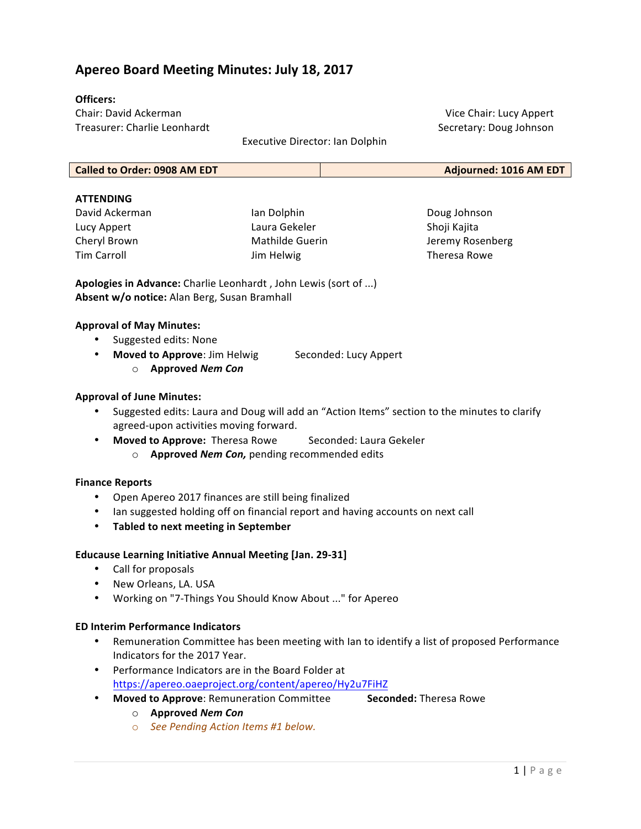# **Apereo Board Meeting Minutes: July 18, 2017**

## **Officers:**

Chair: David Ackerman Treasurer: Charlie Leonhardt

Vice Chair: Lucy Appert Secretary: Doug Johnson

Executive Director: Ian Dolphin

#### **ATTENDING**

David Ackerman Lucy Appert Cheryl Brown Tim Carroll 

Ian Dolphin Laura Gekeler Mathilde Guerin Jim Helwig

Doug Johnson Shoji Kajita Jeremy Rosenberg Theresa Rowe

**Apologies in Advance:** Charlie Leonhardt, John Lewis (sort of ...) Absent w/o notice: Alan Berg, Susan Bramhall

## **Approval of May Minutes:**

- Suggested edits: None
- Moved to Approve: Jim Helwig Seconded: Lucy Appert
	- o **Approved** *Nem Con*

## **Approval of June Minutes:**

- Suggested edits: Laura and Doug will add an "Action Items" section to the minutes to clarify agreed-upon activities moving forward.
- Moved to Approve: Theresa Rowe Seconded: Laura Gekeler
	- o **Approved** *Nem Con*, pending recommended edits

## **Finance Reports**

- Open Apereo 2017 finances are still being finalized
- Ian suggested holding off on financial report and having accounts on next call
- **Tabled to next meeting in September**

## **Educause Learning Initiative Annual Meeting [Jan. 29-31]**

- Call for proposals
- New Orleans, LA. USA
- Working on "7-Things You Should Know About ..." for Apereo

## **ED Interim Performance Indicators**

- Remuneration Committee has been meeting with Ian to identify a list of proposed Performance Indicators for the 2017 Year.
- Performance Indicators are in the Board Folder at https://apereo.oaeproject.org/content/apereo/Hy2u7FiHZ
- Moved to Approve: Remuneration Committee Seconded: Theresa Rowe

- o **Approved** *Nem Con*
- o *See Pending Action Items #1 below.*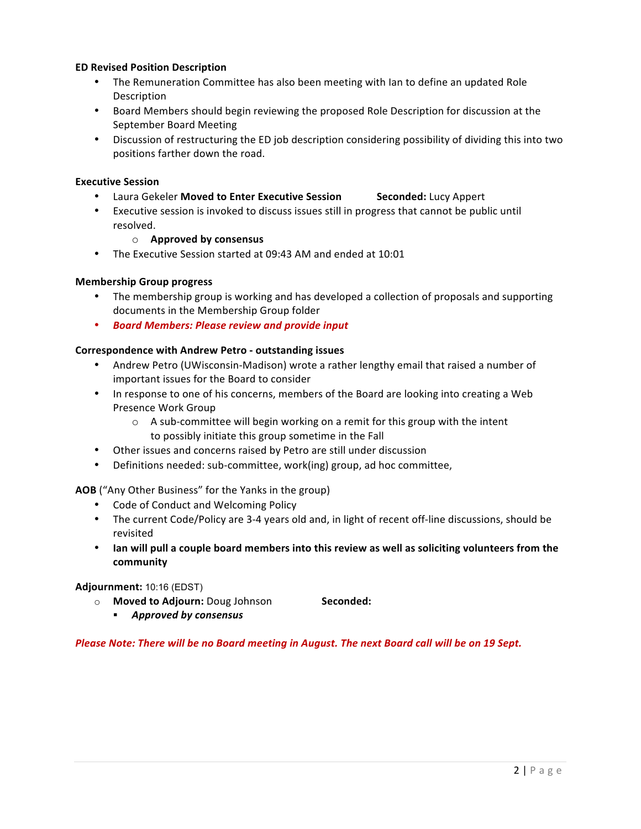## **ED Revised Position Description**

- The Remuneration Committee has also been meeting with lan to define an updated Role Description
- Board Members should begin reviewing the proposed Role Description for discussion at the September Board Meeting
- Discussion of restructuring the ED job description considering possibility of dividing this into two positions farther down the road.

#### **Executive Session**

- Laura Gekeler Moved to Enter Executive Session **Seconded:** Lucy Appert
- Executive session is invoked to discuss issues still in progress that cannot be public until resolved.

#### o **Approved by consensus**

• The Executive Session started at 09:43 AM and ended at 10:01

#### **Membership Group progress**

- The membership group is working and has developed a collection of proposals and supporting documents in the Membership Group folder
- *Board Members: Please review and provide input*

#### **Correspondence with Andrew Petro - outstanding issues**

- Andrew Petro (UWisconsin-Madison) wrote a rather lengthy email that raised a number of important issues for the Board to consider
- In response to one of his concerns, members of the Board are looking into creating a Web Presence Work Group
	- $\circ$  A sub-committee will begin working on a remit for this group with the intent to possibly initiate this group sometime in the Fall
- Other issues and concerns raised by Petro are still under discussion
- Definitions needed: sub-committee, work(ing) group, ad hoc committee,

## **AOB** ("Any Other Business" for the Yanks in the group)

- Code of Conduct and Welcoming Policy
- The current Code/Policy are 3-4 years old and, in light of recent off-line discussions, should be revisited
- Ian will pull a couple board members into this review as well as soliciting volunteers from the **community**

#### **Adjournment:** 10:16 (EDST)

- $\circ$  **Moved to Adjourn:** Doug Johnson **Seconded:** 
	- § *Approved by consensus*

## Please Note: There will be no Board meeting in August. The next Board call will be on 19 Sept.